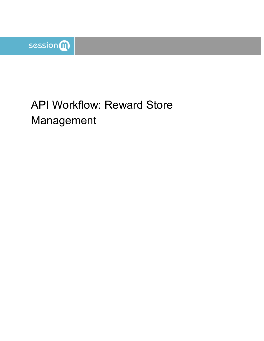

# API Workflow: Reward Store Management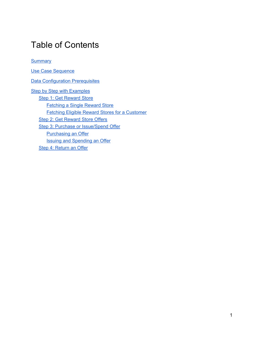### Table of Contents

**[Summary](#page-2-0)** 

Use Case [Sequence](#page-2-1) **Data [Configuration](#page-2-2) Prerequisites Step by Step with [Examples](#page-2-3)** Step 1: Get [Reward](#page-3-0) Store [Fetching](#page-3-1) a Single Reward Store Fetching Eligible Reward Stores for a [Customer](#page-5-0) Step 2: Get [Reward](#page-7-0) Store Offers Step 3: Purchase or [Issue/Spend](#page-9-0) Offer [Purchasing](#page-10-0) an Offer Issuing and [Spending](#page-13-0) an Offer Step 4: [Return](#page-14-0) an Offer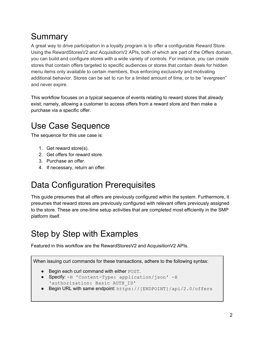# <span id="page-2-0"></span>Summary

A great way to drive participation in a loyalty program is to offer a configurable Reward Store. Using the RewardStoresV2 and AcquisitionV2 APIs, both of which are part of the Offers domain, you can build and configure stores with a wide variety of controls. For instance, you can create stores that contain offers targeted to specific audiences or stores that contain deals for hidden menu items only available to certain members, thus enforcing exclusivity and motivating additional behavior. Stores can be set to run for a limited amount of time, or to be "evergreen" and never expire.

This workflow focuses on a typical sequence of events relating to reward stores that already exist; namely, allowing a customer to access offers from a reward store and then make a purchase via a specific offer.

# <span id="page-2-1"></span>Use Case Sequence

The sequence for this use case is:

- 1. Get reward store(s).
- 2. Get offers for reward store.
- 3. Purchase an offer.
- 4. If necessary, return an offer.

# <span id="page-2-2"></span>Data Configuration Prerequisites

This guide presumes that all offers are previously configured within the system. Furthermore, it presumes that reward stores are previously configured with relevant offers previously assigned to the store. These are one-time setup activities that are completed most efficiently in the SMP platform itself.

## <span id="page-2-3"></span>Step by Step with Examples

Featured in this workflow are the RewardStoresV2 and AcquisitionV2 APIs.

When issuing curl commands for these transactions, adhere to the following syntax:

- Begin each curl command with either POST.
- Specify: -H 'Content-Type: application/json' -H 'authorization: Basic AUTH\_ID'
- Begin URL with same endpoint: https://[ENDPOINT]/api/2.0/offers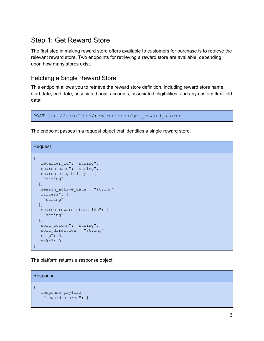### <span id="page-3-0"></span>Step 1: Get Reward Store

The first step in making reward store offers available to customers for purchase is to retrieve the relevant reward store. Two endpoints for retrieving a reward store are available, depending upon how many stores exist.

#### <span id="page-3-1"></span>Fetching a Single Reward Store

This endpoint allows you to retrieve the reward store definition, including reward store name, start date, end date, associated point accounts, associated eligibilities, and any custom flex field data:

POST /api/2.0/offers/rewardstores/get\_reward\_stores

The endpoint passes in a request object that identifies a single reward store.

Request

```
{
 "retailer_id": "string",
 "search name": "string",
 "search_eligibility": [
   "string"
 \vert,
 "search active date": "string",
 "filters": [
   "string"
 \vert,
 "search_reward_store_ids": [
   "string"
 \vert,
 "sort column": "string",
 "sort_direction": "string",
 "skip": 0,
 "take": 0
}
```
The platform returns a response object:

```
Response
{
  "response_payload": {
    "reward_stores": [
      {
```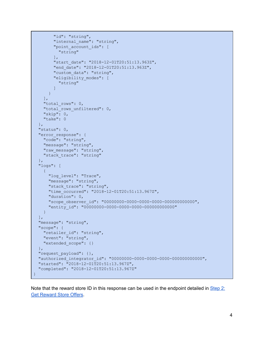```
"id": "string",
        "internal name": "string",
        "point_account_ids": [
          "string"
       \vert,
       "start_date": "2018-12-01T20:51:13.963Z",
        "end_date": "2018-12-01T20:51:13.963Z",
        "custom data": "string",
        "eligibility_modes": [
          "string"
       ]
     }
   \left| \cdot \right|"total rows": 0,
   "total rows unfiltered": 0,
   "skip": 0,
   "take": 0
 },
 "status": 0,
 "error response": {
   "code": "string",
   "message": "string",
   "raw message": "string",
   "stack trace": "string"
 },
  "logs": [
   \{"log_level": "Trace",
     "message": "string",
      "stack trace": "string",
     "time_occurred": "2018-12-01T20:51:13.967Z",
     "duration": 0,
      "scope_observer_id": "00000000-0000-0000-0000-000000000000",
      "entity_id": "00000000-0000-0000-0000-000000000000"
  }
 ],
 "message": "string",
 "scope": {
   "retailer_id": "string",
   "event": "string",
   "extended_scope": {}
 },
 "request_payload": {},
 "authorized_integrator_id": "00000000-0000-0000-0000-000000000000",
 "started": "2018-12-01T20:51:13.967Z",
 "completed": "2018-12-01T20:51:13.967Z"
}
```
Note that the reward store ID in this response can be used in the endpoint detailed in  $Step 2$  $Step 2$ : Get [Reward](#page-7-0) Store Offers.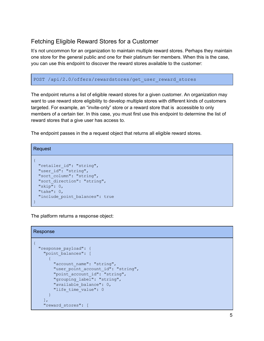#### <span id="page-5-0"></span>Fetching Eligible Reward Stores for a Customer

It's not uncommon for an organization to maintain multiple reward stores. Perhaps they maintain one store for the general public and one for their platinum tier members. When this is the case, you can use this endpoint to discover the reward stores available to the customer:

POST /api/2.0/offers/rewardstores/get\_user\_reward\_stores

The endpoint returns a list of eligible reward stores for a given customer. An organization may want to use reward store eligibility to develop multiple stores with different kinds of customers targeted. For example, an "invite-only" store or a reward store that is accessible to only members of a certain tier. In this case, you must first use this endpoint to determine the list of reward stores that a give user has access to.

The endpoint passes in the a request object that returns all eligible reward stores.

```
Request
{
 "retailer id": "string",
 "user_id": "string",
 "sort column": "string",
 "sort_direction": "string",
 "skip": 0,
 "take": 0,
 "include point balances": true
}
```
The platform returns a response object:

```
Response
{
 "response_payload": {
   "point_balances": [
      {
        "account name": "string",
       "user point account id": "string",
       "point_account_id": "string",
        "grouping label": "string",
        "available_balance": 0,
       "life time value": 0
     }
   ],
    "reward_stores": [
```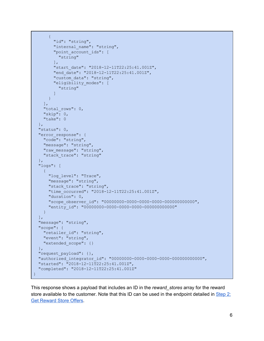```
{
       "id": "string",
        "internal name": "string",
        "point_account_ids": [
         "string"
       \vert,
       "start_date": "2018-12-11T22:25:41.001Z",
       "end_date": "2018-12-11T22:25:41.001Z",
       "custom data": "string",
        "eligibility_modes": [
          "string"
        ]
     }
   ],
   "total rows": 0,
   "skip": 0,
   "take": 0
 },
 "status": 0,
 "error response": {
   "code": "string",
   "message": "string",
   "raw message": "string",
   "stack trace": "string"
 },
 "logs": [
   {
     "log_level": "Trace",
     "message": "string",
     "stack trace": "string",
     "time_occurred": "2018-12-11T22:25:41.001Z",
     "duration": 0,
     "scope_observer_id": "00000000-0000-0000-0000-000000000000",
     "entity_id": "00000000-0000-0000-0000-000000000000"
  }
 ],
 "message": "string",
 "scope": {
   "retailer_id": "string",
   "event": "string",
   "extended_scope": {}
 },
 "request_payload": {},
 "authorized_integrator_id": "00000000-0000-0000-0000-000000000000",
 "started": "2018-12-11T22:25:41.001Z",
 "completed": "2018-12-11T22:25:41.001Z"
}
```
This response shows a payload that includes an ID in the *reward\_stores* array for the reward store available to the customer. Note that this ID can be used in the endpoint detailed in [Step](#page-7-0) 2: Get [Reward](#page-7-0) Store Offers.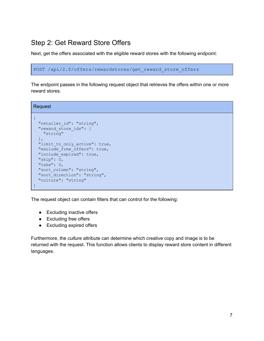### <span id="page-7-0"></span>Step 2: Get Reward Store Offers

Next, get the offers associated with the eligible reward stores with the following endpoint:

```
POST /api/2.0/offers/rewardstores/get reward store offers
```
The endpoint passes in the following request object that retrieves the offers within one or more reward stores.

Request

```
{
 "retailer_id": "string",
 "reward_store_ids": [
   "string"
 \vert,
 "limit to only active": true,
 "exclude free offers": true,
 "include expired": true,
 "skip": 0,
 "take": 0,
 "sort_column": "string",
 "sort direction": "string",
 "culture": "string"
}
```
The request object can contain filters that can control for the following:

- Excluding inactive offers
- Excluding free offers
- Excluding expired offers

Furthermore, the *culture* attribute can determine which creative copy and image is to be returned with the request. This function allows clients to display reward store content in different languages.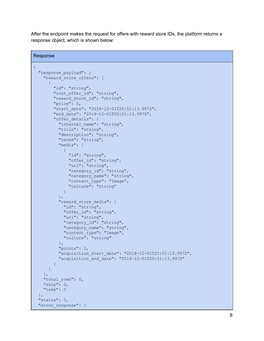After the endpoint makes the request for offers with reward store IDs, the platform returns a response object, which is shown below:

```
Response
{
  "response_payload": {
    "reward store offers": [
      {
        "id": "string",
        "root offer id": "string",
        "reward store id": "string",
        "price": 0,
        "start_date": "2018-12-01T20:51:13.997Z",
        "end_date": "2018-12-01T20:51:13.997Z",
        "offer details": {
          "internal name": "string",
          "title": "string",
          "description": "string",
          "terms": "string",
          "media": [
            \left\{ \right."id": "string",
              "offer id": "string",
              "uri": "string",
              "category id": "string",
              "category name": "string",
              "content_type": "Image",
              "culture": "string"
            }
          ],
          "reward store media": {
            "id": "string",
            "offer id": "string",
            "uri": "string",
            "category id": "string",
            "category name": "string",
            "content type": "Image",
            "culture": "string"
          },
          "points": 0,
          "acquisition_start_date": "2018-12-01T20:51:13.997Z",
          "acquisition_end_date": "2018-12-01T20:51:13.997Z"
        }
     }
   \vert,
    "total rows": 0,
    "skip": 0,
   "take": 0
  \},
  "status": 0,
  "error response": {
```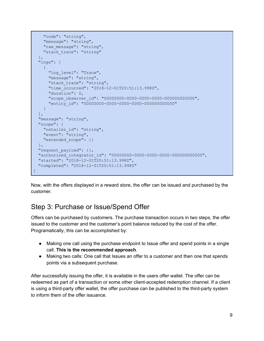```
"code": "string",
   "message": "string",
   "raw message": "string",
    "stack trace": "string"
  },
  "logs": [
   {
     "log_level": "Trace",
     "message": "string",
     "stack trace": "string",
      "time_occurred": "2018-12-01T20:51:13.998Z",
      "duration": 0,
     "scope_observer_id": "00000000-0000-0000-0000-000000000000",
      "entity_id": "00000000-0000-0000-0000-000000000000"
   }
 \frac{1}{\sqrt{2}}"message": "string",
 "scope": {
   "retailer_id": "string",
   "event": "string",
  "extended_scope": {}
 },
 "request_payload": {},
 "authorized_integrator_id": "00000000-0000-0000-0000-000000000000",
 "started": "2018-12-01T20:51:13.998Z",
 "completed": "2018-12-01T20:51:13.998Z"
}
```
Now, with the offers displayed in a reward store, the offer can be issued and purchased by the customer.

### <span id="page-9-0"></span>Step 3: Purchase or Issue/Spend Offer

Offers can be purchased by customers. The purchase transaction occurs in two steps, the offer issued to the customer and the customer's point balance reduced by the cost of the offer. Programatically, this can be accomplished by:

- Making one call using the purchase endpoint to Issue offer and spend points in a single call. **This is the recommended approach**.
- Making two calls: One call that Issues an offer to a customer and then one that spends points via a subsequent purchase.

After successfully issuing the offer, it is available in the users offer wallet. The offer can be redeemed as part of a transaction or some other client-accepted redemption channel. If a client is using a third-party offer wallet, the offer purchase can be published to the third-party system to inform them of the offer issuance.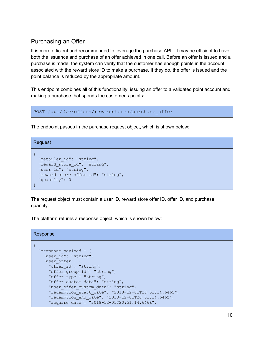#### <span id="page-10-0"></span>Purchasing an Offer

It is more efficient and recommended to leverage the purchase API. It may be efficient to have both the issuance and purchase of an offer achieved in one call. Before an offer is issued and a purchase is made, the system can verify that the customer has enough points in the account associated with the reward store ID to make a purchase. If they do, the offer is issued and the point balance is reduced by the appropriate amount.

This endpoint combines all of this functionality, issuing an offer to a validated point account and making a purchase that spends the customer's points:

```
POST /api/2.0/offers/rewardstores/purchase offer
```
The endpoint passes in the purchase request object, which is shown below:

```
Request
{
 "retailer id": "string",
 "reward store id": "string",
 "user_id": "string",
 "reward_store_offer_id": "string",
 "quantity": 0
}
```
The request object must contain a user ID, reward store offer ID, offer ID, and purchase quantity.

The platform returns a response object, which is shown below:

```
Response
{
 "response_payload": {
   "user_id": "string",
    "user offer": {
      "offer id": "string",
     "offer group id": "string",
      "offer type": "string",
      "offer custom data": "string",
      "user offer custom data": "string",
      "redemption_start_date": "2018-12-01T20:51:14.646Z",
      "redemption_end_date": "2018-12-01T20:51:14.646Z",
      "acquire date": "2018-12-01T20:51:14.646Z",
```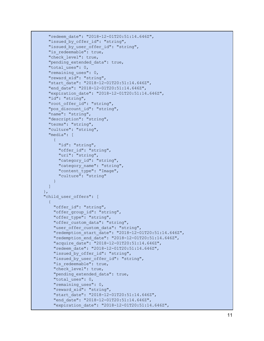```
"redeem_date": "2018-12-01T20:51:14.646Z",
  "issued_by_offer_id": "string",
  "issued_by_user_offer_id": "string",
  "is_redeemable": true,
  "check_level": true,
  "pending_extended_data": true,
  "total_uses": 0,
  "remaining_uses": 0,
  "reward_xid": "string",
  "start_date": "2018-12-01T20:51:14.646Z",
  "end_date": "2018-12-01T20:51:14.646Z",
  "expiration_date": "2018-12-01T20:51:14.646Z",
  "id": "string",
  "root_offer_id": "string",
  "pos_discount_id": "string",
  "name": "string",
  "description": "string",
  "terms": "string",
  "culture": "string",
  "media": [
   {
      "id": "string",
      "offer_id": "string",
      "uri": "string",
      "category_id": "string",
      "category_name": "string",
      "content_type": "Image",
      "culture": "string"
   }
 ]
}
,
"child_user_offers": [
 \{"offer_id": "string",
    "offer_group_id": "string",
    "offer_type": "string",
    "offer_custom_data": "string",
    "user_offer_custom_data": "string",
    "redemption_start_date": "2018-12-01T20:51:14.646Z",
    "redemption_end_date": "2018-12-01T20:51:14.646Z",
    "acquire_date": "2018-12-01T20:51:14.646Z",
    "redeem_date": "2018-12-01T20:51:14.646Z",
    "issued_by_offer_id": "string",
    "issued_by_user_offer_id": "string",
    "is_redeemable": true,
    "check_level": true,
    "pending_extended_data": true,
    "total_uses": 0,
    "remaining_uses": 0,
    "reward_xid": "string",
    "start_date": "2018-12-01T20:51:14.646Z",
    "end_date": "2018-12-01T20:51:14.646Z",
    "expiration_date": "2018-12-01T20:51:14.646Z",
```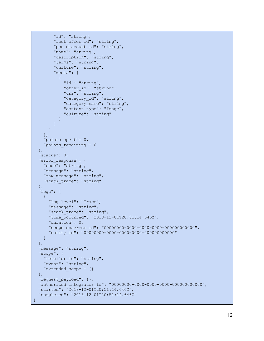```
"id": "string",
        "root offer id": "string",
        "pos discount id": "string",
        "name": "string",
        "description": "string",
        "terms": "string",
        "culture": "string",
        "media": [
          {
            "id": "string",
            "offer_id": "string",
            "uri": "string",
            "category id": "string",
            "category name": "string",
            "content_type": "Image",
            "culture": "string"
          }
        ]
      }
   \left| \ \right|,
   "points_spent": 0,
   "points remaining": 0
 },
 "status": 0,
 "error response": {
   "code": "string",
   "message": "string",
   "raw message": "string",
   "stack trace": "string"
 },
 "logs": [
   \{"log_level": "Trace",
      "message": "string",
      "stack trace": "string",
      "time occurred": "2018-12-01T20:51:14.646Z",
      "duration": 0,
      "scope_observer_id": "00000000-0000-0000-0000-000000000000",
      "entity_id": "00000000-0000-0000-0000-000000000000"
   }
 \frac{1}{\sqrt{2}}"message": "string",
 "scope": {
   "retailer id": "string",
   "event": "string",
   "extended_scope": {}
 },
 "request_payload": {},
 "authorized_integrator_id": "00000000-0000-0000-0000-000000000000",
 "started": "2018-12-01T20:51:14.646Z",
 "completed": "2018-12-01T20:51:14.646Z"
}
```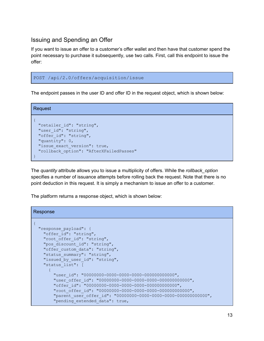#### <span id="page-13-0"></span>Issuing and Spending an Offer

If you want to issue an offer to a customer's offer wallet and then have that customer spend the point necessary to purchase it subsequently, use two calls. First, call this endpoint to issue the offer:

#### POST /api/2.0/offers/acquisition/issue

The endpoint passes in the user ID and offer ID in the request object, which is shown below:

Request

```
{
 "retailer_id": "string",
 "user_id": "string",
 "offer_id": "string",
 "quantity": 0,
 "issue exact version": true,
 "rollback_option": "AfterXFailedPasses"
}
```
The *quantity* attribute allows you to issue a multiplicity of offers. While the *rollback\_option* specifies a number of issuance attempts before rolling back the request. Note that there is no point deduction in this request. It is simply a mechanism to issue an offer to a customer.

The platform returns a response object, which is shown below:

```
Response
{
  "response_payload": {
   "offer id": "string",
   "root offer id": "string",
   "pos_discount_id": "string",
   "offer custom data": "string",
    "status summary": "string",
   "issued by user id": "string",
    "status_list": [
      {
        "user_id": "00000000-0000-0000-0000-000000000000",
        "user_offer_id": "00000000-0000-0000-0000-000000000000",
        "offer_id": "00000000-0000-0000-0000-000000000000",
        "root_offer_id": "00000000-0000-0000-0000-000000000000",
        "parent_user_offer_id": "00000000-0000-0000-0000-000000000000",
        "pending extended data": true,
```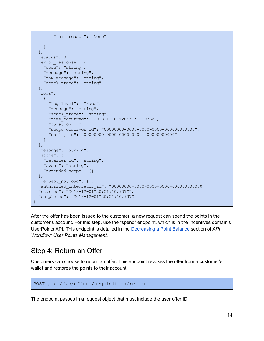```
"fail reason": "None"
     }
   ]
  },
 "status": 0,
 "error_response": {
   "code": "string",
   "message": "string",
   "raw message": "string",
   "stack trace": "string"
  \},
  "logs": [
   {
     "log_level": "Trace",
     "message": "string",
     "stack trace": "string",
     "time_occurred": "2018-12-01T20:51:10.936Z",
      "duration": 0,
      "scope_observer_id": "00000000-0000-0000-0000-000000000000",
      "entity_id": "00000000-0000-0000-0000-000000000000"
  }
 \frac{1}{\sqrt{2}}"message": "string",
 "scope": {
   "retailer_id": "string",
   "event": "string",
   "extended_scope": {}
 },
 "request_payload": {},
 "authorized_integrator_id": "00000000-0000-0000-0000-000000000000",
 "started": "2018-12-01T20:51:10.937Z",
 "completed": "2018-12-01T20:51:10.937Z"
}
```
After the offer has been issued to the customer, a new request can spend the points in the customer's account. For this step, use the "spend" endpoint, which is in the Incentives domain's UserPoints API. This endpoint is detailed in the [Decreasing](https://docs.google.com/document/d/1Q6NzS8bfxZz_or8jffsaYIaMSztgEjFQ3Alt-HoPv0s/edit#heading=h.64opfnoisf80) a Point Balance section of *API Workflow: User Points Management*.

### <span id="page-14-0"></span>Step 4: Return an Offer

Customers can choose to return an offer. This endpoint revokes the offer from a customer's wallet and restores the points to their account:

```
POST /api/2.0/offers/acquisition/return
```
The endpoint passes in a request object that must include the user offer ID.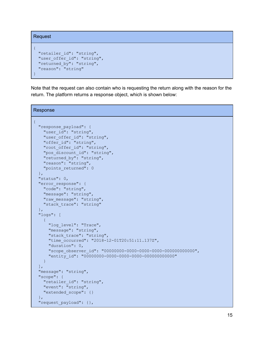```
Request
{
 "retailer id": "string",
 "user offer id": "string",
 "returned_by": "string",
 "reason": "string"
}
```
Note that the request can also contain who is requesting the return along with the reason for the return. The platform returns a response object, which is shown below:

```
Response
{
  "response_payload": {
   "user_id": "string",
   "user offer id": "string",
   "offer_id": "string",
    "root offer id": "string",
   "pos_discount_id": "string",
   "returned by": "string",
   "reason": "string",
   "points_returned": 0
 },
 "status": 0,
  "error response": {
   "code": "string",
   "message": "string",
   "raw message": "string",
   "stack trace": "string"
  },
  "logs": [
   \{"log_level": "Trace",
     "message": "string",
     "stack trace": "string",
      "time_occurred": "2018-12-01T20:51:11.137Z",
      "duration": 0,
      "scope_observer_id": "00000000-0000-0000-0000-000000000000",
      "entity_id": "00000000-0000-0000-0000-000000000000"
    }
 ],
 "message": "string",
  "scope": {
   "retailer_id": "string",
   "event": "string",
   "extended_scope": {}
  },
  "request_payload": {},
```